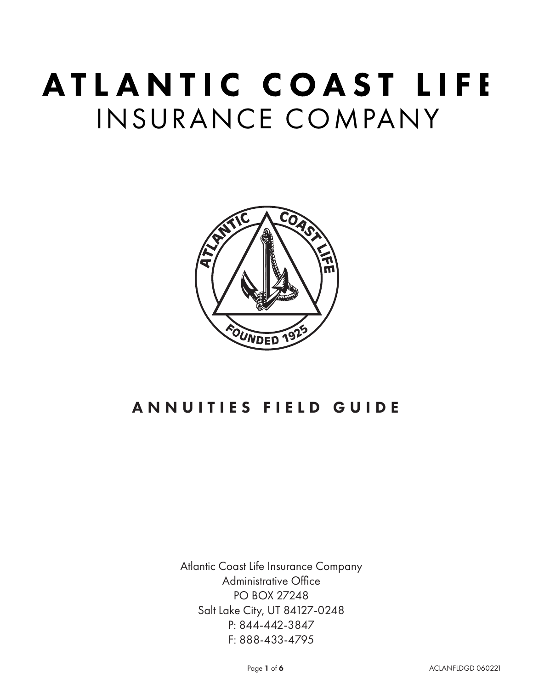# ATLANTIC COAST LIFE INSURANCE COMPANY



## ANNUITIES FIELD GUIDE

Atlantic Coast Life Insurance Company Administrative Office PO BOX 27248 Salt Lake City, UT 84127-0248 P: 844-442-3847 F: 888-433-4795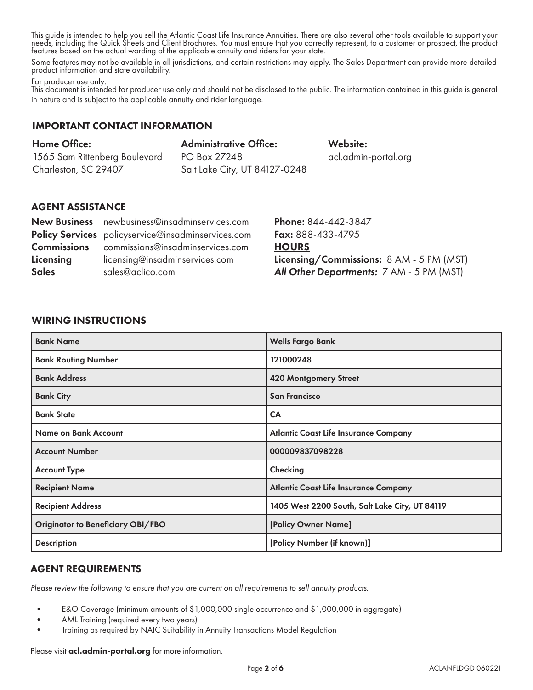This guide is intended to help you sell the Atlantic Coast Life Insurance Annuities. There are also several other tools available to support your needs, including the Quick Sheets and Client Brochures. You must ensure that you correctly represent, to a customer or prospect, the product features based on the actual wording of the applicable annuity and riders for your state.

Some features may not be available in all jurisdictions, and certain restrictions may apply. The Sales Department can provide more detailed product information and state availability.

For producer use only:

This document is intended for producer use only and should not be disclosed to the public. The information contained in this guide is general in nature and is subject to the applicable annuity and rider language.

## IMPORTANT CONTACT INFORMATION

| Home Office:                  | <b>Administrative Office:</b> |
|-------------------------------|-------------------------------|
| 1565 Sam Rittenberg Boulevard | PO Box 27248                  |
| Charleston, SC 29407          | Salt Lake City, UT 84127-0248 |

## Website: acl.admin-portal.org

## AGENT ASSISTANCE

|              | New Business newbusiness@insadminservices.com       |
|--------------|-----------------------------------------------------|
|              | Policy Services policyservice@insadminservices.com  |
|              | <b>Commissions</b> commissions@insadminservices.com |
| Licensing    | licensing@insadminservices.com                      |
| <b>Sales</b> | sales@aclico.com                                    |

Phone: 844-442-3847 Fax: 888-433-4795 **HOURS** Licensing/Commissions: 8 AM - 5 PM (MST) *All Other Departments:* 7 AM - 5 PM (MST)

## WIRING INSTRUCTIONS

| <b>Bank Name</b>                  | <b>Wells Fargo Bank</b>                        |
|-----------------------------------|------------------------------------------------|
| <b>Bank Routing Number</b>        | 121000248                                      |
| <b>Bank Address</b>               | 420 Montgomery Street                          |
| <b>Bank City</b>                  | <b>San Francisco</b>                           |
| <b>Bank State</b>                 | <b>CA</b>                                      |
| Name on Bank Account              | <b>Atlantic Coast Life Insurance Company</b>   |
| <b>Account Number</b>             | 000009837098228                                |
| <b>Account Type</b>               | Checking                                       |
| <b>Recipient Name</b>             | <b>Atlantic Coast Life Insurance Company</b>   |
| <b>Recipient Address</b>          | 1405 West 2200 South, Salt Lake City, UT 84119 |
| Originator to Beneficiary OBI/FBO | [Policy Owner Name]                            |
| <b>Description</b>                | [Policy Number (if known)]                     |

### AGENT REQUIREMENTS

*Please review the following to ensure that you are current on all requirements to sell annuity products.* 

- E&O Coverage (minimum amounts of \$1,000,000 single occurrence and \$1,000,000 in aggregate)
- AML Training (required every two years)
- Training as required by NAIC Suitability in Annuity Transactions Model Regulation

Please visit acl.admin-portal.org for more information.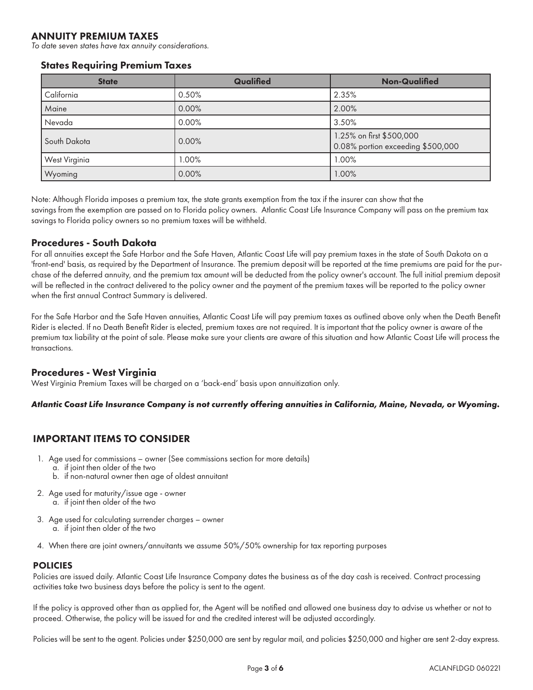## ANNUITY PREMIUM TAXES

*To date seven states have tax annuity considerations.*

#### States Requiring Premium Taxes

| <b>State</b>  | Qualified | <b>Non-Qualified</b>                                          |
|---------------|-----------|---------------------------------------------------------------|
| California    | 0.50%     | 2.35%                                                         |
| Maine         | 0.00%     | 2.00%                                                         |
| Nevada        | $0.00\%$  | 3.50%                                                         |
| South Dakota  | $0.00\%$  | 1.25% on first \$500,000<br>0.08% portion exceeding \$500,000 |
| West Virginia | $1.00\%$  | 1.00%                                                         |
| Wyoming       | 0.00%     | 1.00%                                                         |

Note: Although Florida imposes a premium tax, the state grants exemption from the tax if the insurer can show that the savings from the exemption are passed on to Florida policy owners. Atlantic Coast Life Insurance Company will pass on the premium tax savings to Florida policy owners so no premium taxes will be withheld.

#### Procedures - South Dakota

For all annuities except the Safe Harbor and the Safe Haven, Atlantic Coast Life will pay premium taxes in the state of South Dakota on a 'front-end' basis, as required by the Department of Insurance. The premium deposit will be reported at the time premiums are paid for the purchase of the deferred annuity, and the premium tax amount will be deducted from the policy owner's account. The full initial premium deposit will be reflected in the contract delivered to the policy owner and the payment of the premium taxes will be reported to the policy owner when the first annual Contract Summary is delivered.

For the Safe Harbor and the Safe Haven annuities, Atlantic Coast Life will pay premium taxes as outlined above only when the Death Benefit Rider is elected. If no Death Benefit Rider is elected, premium taxes are not required. It is important that the policy owner is aware of the premium tax liability at the point of sale. Please make sure your clients are aware of this situation and how Atlantic Coast Life will process the transactions.

### Procedures - West Virginia

West Virginia Premium Taxes will be charged on a 'back-end' basis upon annuitization only.

#### *Atlantic Coast Life Insurance Company is not currently offering annuities in California, Maine, Nevada, or Wyoming.*

### IMPORTANT ITEMS TO CONSIDER

- 1. Age used for commissions owner (See commissions section for more details)
	- a. if joint then older of the two
		- b. if non-natural owner then age of oldest annuitant
- 2. Age used for maturity/issue age owner a. if joint then older of the two
- 3. Age used for calculating surrender charges owner a. if joint then older of the two
- 4. When there are joint owners/annuitants we assume 50%/50% ownership for tax reporting purposes

#### POLICIES

Policies are issued daily. Atlantic Coast Life Insurance Company dates the business as of the day cash is received. Contract processing activities take two business days before the policy is sent to the agent.

If the policy is approved other than as applied for, the Agent will be notified and allowed one business day to advise us whether or not to proceed. Otherwise, the policy will be issued for and the credited interest will be adjusted accordingly.

Policies will be sent to the agent. Policies under \$250,000 are sent by regular mail, and policies \$250,000 and higher are sent 2-day express.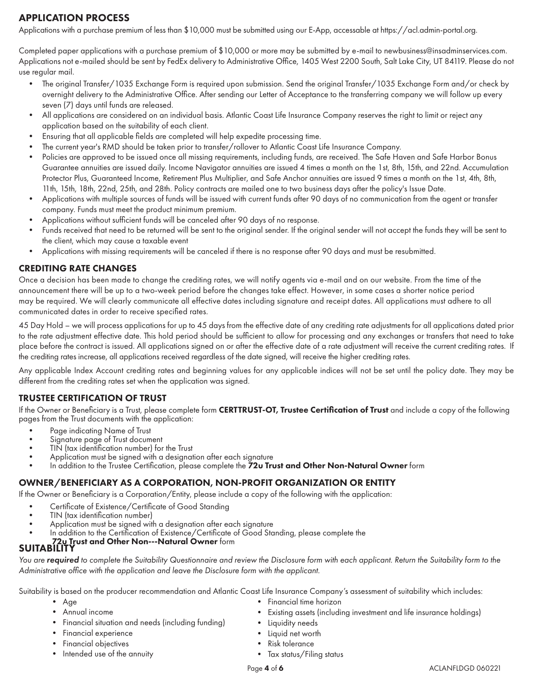## APPLICATION PROCESS

Applications with a purchase premium of less than \$10,000 must be submitted using our E-App, accessable at https://acl.admin-portal.org.

Completed paper applications with a purchase premium of \$10,000 or more may be submitted by e-mail to newbusiness@insadminservices.com. Applications not e-mailed should be sent by FedEx delivery to Administrative Office, 1405 West 2200 South, Salt Lake City, UT 84119. Please do not use regular mail.

- The original Transfer/1035 Exchange Form is required upon submission. Send the original Transfer/1035 Exchange Form and/or check by overnight delivery to the Administrative Office. After sending our Letter of Acceptance to the transferring company we will follow up every seven (7) days until funds are released.
- All applications are considered on an individual basis. Atlantic Coast Life Insurance Company reserves the right to limit or reject any application based on the suitability of each client.
- Ensuring that all applicable fields are completed will help expedite processing time.
- The current year's RMD should be taken prior to transfer/rollover to Atlantic Coast Life Insurance Company.
- Policies are approved to be issued once all missing requirements, including funds, are received. The Safe Haven and Safe Harbor Bonus Guarantee annuities are issued daily. Income Navigator annuities are issued 4 times a month on the 1st, 8th, 15th, and 22nd. Accumulation Protector Plus, Guaranteed Income, Retirement Plus Multiplier, and Safe Anchor annuities are issued 9 times a month on the 1st, 4th, 8th, 11th, 15th, 18th, 22nd, 25th, and 28th. Policy contracts are mailed one to two business days after the policy's Issue Date.
- Applications with multiple sources of funds will be issued with current funds after 90 days of no communication from the agent or transfer company. Funds must meet the product minimum premium.
- Applications without sufficient funds will be canceled after 90 days of no response.
- Funds received that need to be returned will be sent to the original sender. If the original sender will not accept the funds they will be sent to the client, which may cause a taxable event
- Applications with missing requirements will be canceled if there is no response after 90 days and must be resubmitted.

#### CREDITING RATE CHANGES

Once a decision has been made to change the crediting rates, we will notify agents via e-mail and on our website. From the time of the announcement there will be up to a two-week period before the changes take effect. However, in some cases a shorter notice period may be required. We will clearly communicate all effective dates including signature and receipt dates. All applications must adhere to all communicated dates in order to receive specified rates.

45 Day Hold – we will process applications for up to 45 days from the effective date of any crediting rate adjustments for all applications dated prior to the rate adjustment effective date. This hold period should be sufficient to allow for processing and any exchanges or transfers that need to take place before the contract is issued. All applications signed on or after the effective date of a rate adjustment will receive the current crediting rates. If the crediting rates increase, all applications received regardless of the date signed, will receive the higher crediting rates.

Any applicable Index Account crediting rates and beginning values for any applicable indices will not be set until the policy date. They may be different from the crediting rates set when the application was signed.

### TRUSTEE CERTIFICATION OF TRUST

If the Owner or Beneficiary is a Trust, please complete form CERTTRUST-OT, Trustee Certification of Trust and include a copy of the following pages from the Trust documents with the application:

- 
- 
- 
- 
- Page indicating Name of Trust<br>• Signature page of Trust document<br>• TIN (tax identification number) for the Trust<br>• Application must be signed with a designation after each signature<br>• In addition to the Trustee Certifica

#### OWNER/BENEFICIARY AS A CORPORATION, NON-PROFIT ORGANIZATION OR ENTITY

If the Owner or Beneficiary is a Corporation/Entity, please include a copy of the following with the application:

- Certificate of Existence/Certificate of Good Standing<br>TIN (tax identification number)
- 
- 
- Application must be signed with a designation after each signature<br>• In addition to the Certification of Existence/Certificate of Good Standing, please complete the<br>• The Certification of Existence/Certificate of Good St
- 

## **SUITABILITY**

You are *required* to complete the Suitability Questionnaire and review the Disclosure form with each applicant. Return the Suitability form to the *Administrative office with the application and leave the Disclosure form with the applicant.*

Suitability is based on the producer recommendation and Atlantic Coast Life Insurance Company's assessment of suitability which includes:

- Age
- Annual income
- Financial situation and needs (including funding)
- Financial experience
- Financial objectives
- Intended use of the annuity
- Financial time horizon
- Existing assets (including investment and life insurance holdings)
- Liquidity needs
- Liquid net worth
- Risk tolerance
- Tax status/Filing status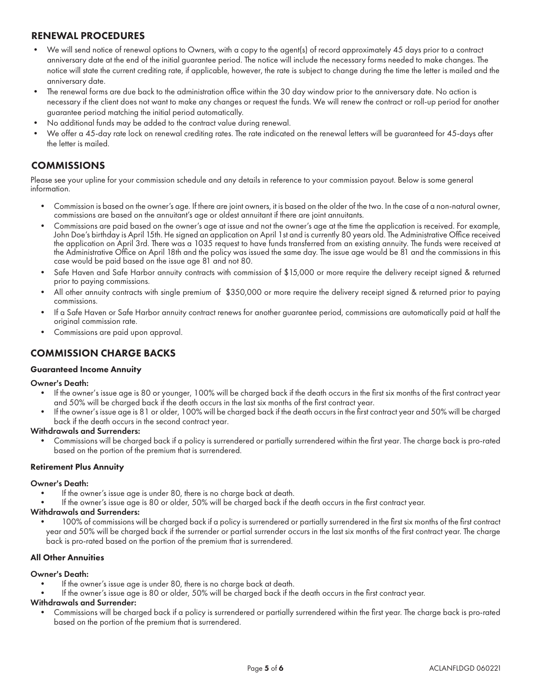## RENEWAL PROCEDURES

- We will send notice of renewal options to Owners, with a copy to the agent(s) of record approximately 45 days prior to a contract anniversary date at the end of the initial guarantee period. The notice will include the necessary forms needed to make changes. The notice will state the current crediting rate, if applicable, however, the rate is subject to change during the time the letter is mailed and the anniversary date.
- The renewal forms are due back to the administration office within the 30 day window prior to the anniversary date. No action is necessary if the client does not want to make any changes or request the funds. We will renew the contract or roll-up period for another guarantee period matching the initial period automatically.
- No additional funds may be added to the contract value during renewal.
- We offer a 45-day rate lock on renewal crediting rates. The rate indicated on the renewal letters will be guaranteed for 45-days after the letter is mailed.

## **COMMISSIONS**

Please see your upline for your commission schedule and any details in reference to your commission payout. Below is some general information.

- Commission is based on the owner's age. If there are joint owners, it is based on the older of the two. In the case of a non-natural owner, commissions are based on the annuitant's age or oldest annuitant if there are joint annuitants.
- Commissions are paid based on the owner's age at issue and not the owner's age at the time the application is received. For example, John Doe's birthday is April 15th. He signed an application on April 1st and is currently 80 years old. The Administrative Office received the application on April 3rd. There was a 1035 request to have funds transferred from an existing annuity. The funds were received at the Administrative Office on April 18th and the policy was issued the same day. The issue age would be 81 and the commissions in this case would be paid based on the issue age 81 and not 80.
- Safe Haven and Safe Harbor annuity contracts with commission of \$15,000 or more require the delivery receipt signed & returned prior to paying commissions.
- All other annuity contracts with single premium of \$350,000 or more require the delivery receipt signed & returned prior to paying commissions.
- If a Safe Haven or Safe Harbor annuity contract renews for another guarantee period, commissions are automatically paid at half the original commission rate.
- Commissions are paid upon approval.

### COMMISSION CHARGE BACKS

#### Guaranteed Income Annuity

#### Owner's Death:

- If the owner's issue age is 80 or younger, 100% will be charged back if the death occurs in the first six months of the first contract year and 50% will be charged back if the death occurs in the last six months of the first contract year.
- If the owner's issue age is 81 or older, 100% will be charged back if the death occurs in the first contract year and 50% will be charged back if the death occurs in the second contract year.

#### Withdrawals and Surrenders:

• Commissions will be charged back if a policy is surrendered or partially surrendered within the first year. The charge back is pro-rated based on the portion of the premium that is surrendered.

#### Retirement Plus Annuity

#### Owner's Death:

- If the owner's issue age is under 80, there is no charge back at death.
- If the owner's issue age is 80 or older, 50% will be charged back if the death occurs in the first contract year.

#### Withdrawals and Surrenders:

• 100% of commissions will be charged back if a policy is surrendered or partially surrendered in the first six months of the first contract year and 50% will be charged back if the surrender or partial surrender occurs in the last six months of the first contract year. The charge back is pro-rated based on the portion of the premium that is surrendered.

#### All Other Annuities

#### Owner's Death:

- If the owner's issue age is under 80, there is no charge back at death.
- If the owner's issue age is 80 or older, 50% will be charged back if the death occurs in the first contract year.

#### Withdrawals and Surrender:

• Commissions will be charged back if a policy is surrendered or partially surrendered within the first year. The charge back is pro-rated based on the portion of the premium that is surrendered.